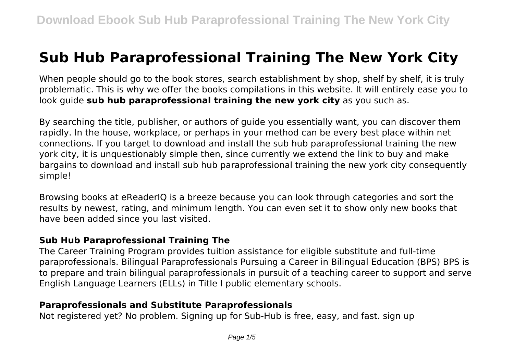# **Sub Hub Paraprofessional Training The New York City**

When people should go to the book stores, search establishment by shop, shelf by shelf, it is truly problematic. This is why we offer the books compilations in this website. It will entirely ease you to look guide **sub hub paraprofessional training the new york city** as you such as.

By searching the title, publisher, or authors of guide you essentially want, you can discover them rapidly. In the house, workplace, or perhaps in your method can be every best place within net connections. If you target to download and install the sub hub paraprofessional training the new york city, it is unquestionably simple then, since currently we extend the link to buy and make bargains to download and install sub hub paraprofessional training the new york city consequently simple!

Browsing books at eReaderIQ is a breeze because you can look through categories and sort the results by newest, rating, and minimum length. You can even set it to show only new books that have been added since you last visited.

#### **Sub Hub Paraprofessional Training The**

The Career Training Program provides tuition assistance for eligible substitute and full-time paraprofessionals. Bilingual Paraprofessionals Pursuing a Career in Bilingual Education (BPS) BPS is to prepare and train bilingual paraprofessionals in pursuit of a teaching career to support and serve English Language Learners (ELLs) in Title I public elementary schools.

#### **Paraprofessionals and Substitute Paraprofessionals**

Not registered yet? No problem. Signing up for Sub-Hub is free, easy, and fast. sign up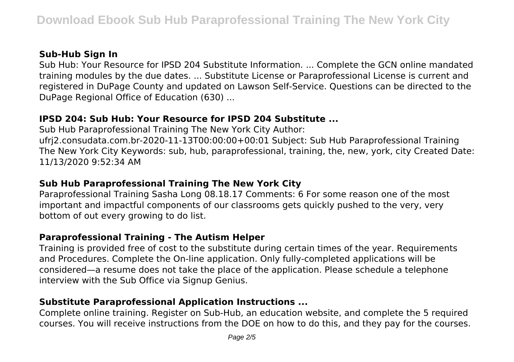## **Sub-Hub Sign In**

Sub Hub: Your Resource for IPSD 204 Substitute Information. ... Complete the GCN online mandated training modules by the due dates. ... Substitute License or Paraprofessional License is current and registered in DuPage County and updated on Lawson Self-Service. Questions can be directed to the DuPage Regional Office of Education (630) ...

## **IPSD 204: Sub Hub: Your Resource for IPSD 204 Substitute ...**

Sub Hub Paraprofessional Training The New York City Author: ufrj2.consudata.com.br-2020-11-13T00:00:00+00:01 Subject: Sub Hub Paraprofessional Training The New York City Keywords: sub, hub, paraprofessional, training, the, new, york, city Created Date: 11/13/2020 9:52:34 AM

# **Sub Hub Paraprofessional Training The New York City**

Paraprofessional Training Sasha Long 08.18.17 Comments: 6 For some reason one of the most important and impactful components of our classrooms gets quickly pushed to the very, very bottom of out every growing to do list.

# **Paraprofessional Training - The Autism Helper**

Training is provided free of cost to the substitute during certain times of the year. Requirements and Procedures. Complete the On-line application. Only fully-completed applications will be considered—a resume does not take the place of the application. Please schedule a telephone interview with the Sub Office via Signup Genius.

# **Substitute Paraprofessional Application Instructions ...**

Complete online training. Register on Sub-Hub, an education website, and complete the 5 required courses. You will receive instructions from the DOE on how to do this, and they pay for the courses.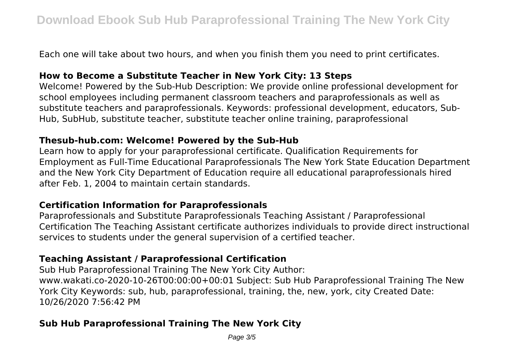Each one will take about two hours, and when you finish them you need to print certificates.

#### **How to Become a Substitute Teacher in New York City: 13 Steps**

Welcome! Powered by the Sub-Hub Description: We provide online professional development for school employees including permanent classroom teachers and paraprofessionals as well as substitute teachers and paraprofessionals. Keywords: professional development, educators, Sub-Hub, SubHub, substitute teacher, substitute teacher online training, paraprofessional

#### **Thesub-hub.com: Welcome! Powered by the Sub-Hub**

Learn how to apply for your paraprofessional certificate. Qualification Requirements for Employment as Full-Time Educational Paraprofessionals The New York State Education Department and the New York City Department of Education require all educational paraprofessionals hired after Feb. 1, 2004 to maintain certain standards.

#### **Certification Information for Paraprofessionals**

Paraprofessionals and Substitute Paraprofessionals Teaching Assistant / Paraprofessional Certification The Teaching Assistant certificate authorizes individuals to provide direct instructional services to students under the general supervision of a certified teacher.

## **Teaching Assistant / Paraprofessional Certification**

Sub Hub Paraprofessional Training The New York City Author: www.wakati.co-2020-10-26T00:00:00+00:01 Subject: Sub Hub Paraprofessional Training The New York City Keywords: sub, hub, paraprofessional, training, the, new, york, city Created Date: 10/26/2020 7:56:42 PM

#### **Sub Hub Paraprofessional Training The New York City**

Page 3/5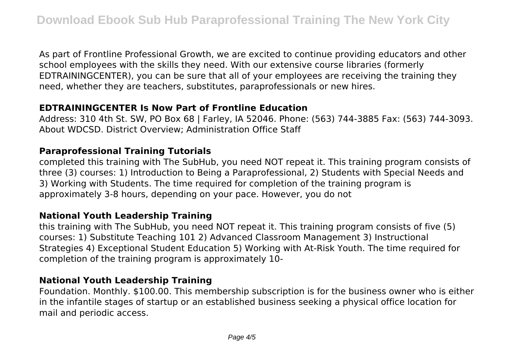As part of Frontline Professional Growth, we are excited to continue providing educators and other school employees with the skills they need. With our extensive course libraries (formerly EDTRAININGCENTER), you can be sure that all of your employees are receiving the training they need, whether they are teachers, substitutes, paraprofessionals or new hires.

#### **EDTRAININGCENTER Is Now Part of Frontline Education**

Address: 310 4th St. SW, PO Box 68 | Farley, IA 52046. Phone: (563) 744-3885 Fax: (563) 744-3093. About WDCSD. District Overview; Administration Office Staff

#### **Paraprofessional Training Tutorials**

completed this training with The SubHub, you need NOT repeat it. This training program consists of three (3) courses: 1) Introduction to Being a Paraprofessional, 2) Students with Special Needs and 3) Working with Students. The time required for completion of the training program is approximately 3-8 hours, depending on your pace. However, you do not

#### **National Youth Leadership Training**

this training with The SubHub, you need NOT repeat it. This training program consists of five (5) courses: 1) Substitute Teaching 101 2) Advanced Classroom Management 3) Instructional Strategies 4) Exceptional Student Education 5) Working with At-Risk Youth. The time required for completion of the training program is approximately 10-

#### **National Youth Leadership Training**

Foundation. Monthly. \$100.00. This membership subscription is for the business owner who is either in the infantile stages of startup or an established business seeking a physical office location for mail and periodic access.